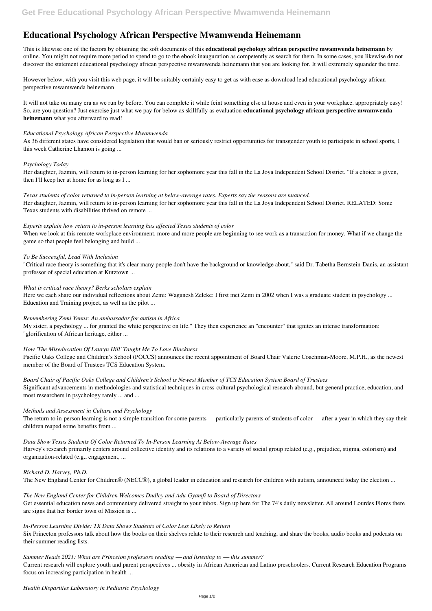# **Educational Psychology African Perspective Mwamwenda Heinemann**

This is likewise one of the factors by obtaining the soft documents of this **educational psychology african perspective mwamwenda heinemann** by online. You might not require more period to spend to go to the ebook inauguration as competently as search for them. In some cases, you likewise do not discover the statement educational psychology african perspective mwamwenda heinemann that you are looking for. It will extremely squander the time.

However below, with you visit this web page, it will be suitably certainly easy to get as with ease as download lead educational psychology african perspective mwamwenda heinemann

It will not take on many era as we run by before. You can complete it while feint something else at house and even in your workplace. appropriately easy! So, are you question? Just exercise just what we pay for below as skillfully as evaluation **educational psychology african perspective mwamwenda heinemann** what you afterward to read!

#### *Educational Psychology African Perspective Mwamwenda*

As 36 different states have considered legislation that would ban or seriously restrict opportunities for transgender youth to participate in school sports, 1 this week Catherine Lhamon is going ...

# *Psychology Today*

Her daughter, Jazmin, will return to in-person learning for her sophomore year this fall in the La Joya Independent School District. "If a choice is given, then I'll keep her at home for as long as I ...

# *Texas students of color returned to in-person learning at below-average rates. Experts say the reasons are nuanced.*

Her daughter, Jazmin, will return to in-person learning for her sophomore year this fall in the La Joya Independent School District. RELATED: Some Texas students with disabilities thrived on remote ...

The return to in-person learning is not a simple transition for some parents — particularly parents of students of color — after a year in which they say their children reaped some benefits from ...

#### *Experts explain how return to in-person learning has affected Texas students of color*

When we look at this remote workplace environment, more and more people are beginning to see work as a transaction for money. What if we change the game so that people feel belonging and build ...

# *To Be Successful, Lead With Inclusion*

Get essential education news and commentary delivered straight to your inbox. Sign up here for The 74's daily newsletter. All around Lourdes Flores there are signs that her border town of Mission is ...

"Critical race theory is something that it's clear many people don't have the background or knowledge about," said Dr. Tabetha Bernstein-Danis, an assistant professor of special education at Kutztown ...

# *What is critical race theory? Berks scholars explain*

Here we each share our individual reflections about Zemi: Waganesh Zeleke: I first met Zemi in 2002 when I was a graduate student in psychology ... Education and Training project, as well as the pilot ...

# *Remembering Zemi Yenus: An ambassador for autism in Africa*

My sister, a psychology ... for granted the white perspective on life." They then experience an "encounter" that ignites an intense transformation: "glorification of African heritage, either ...

# *How 'The Miseducation Of Lauryn Hill' Taught Me To Love Blackness*

Pacific Oaks College and Children's School (POCCS) announces the recent appointment of Board Chair Valerie Coachman-Moore, M.P.H., as the newest member of the Board of Trustees TCS Education System.

# *Board Chair of Pacific Oaks College and Children's School is Newest Member of TCS Education System Board of Trustees*

Significant advancements in methodologies and statistical techniques in cross-cultural psychological research abound, but general practice, education, and most researchers in psychology rarely ... and ...

# *Methods and Assessment in Culture and Psychology*

# *Data Show Texas Students Of Color Returned To In-Person Learning At Below-Average Rates*

Harvey's research primarily centers around collective identity and its relations to a variety of social group related (e.g., prejudice, stigma, colorism) and organization-related (e.g., engagement, ...

#### *Richard D. Harvey, Ph.D.*

The New England Center for Children® (NECC®), a global leader in education and research for children with autism, announced today the election ...

#### *The New England Center for Children Welcomes Dudley and Adu-Gyamfi to Board of Directors*

# *In-Person Learning Divide: TX Data Shows Students of Color Less Likely to Return*

Six Princeton professors talk about how the books on their shelves relate to their research and teaching, and share the books, audio books and podcasts on their summer reading lists.

*Summer Reads 2021: What are Princeton professors reading — and listening to — this summer?* Current research will explore youth and parent perspectives ... obesity in African American and Latino preschoolers. Current Research Education Programs focus on increasing participation in health ...

*Health Disparities Laboratory in Pediatric Psychology*